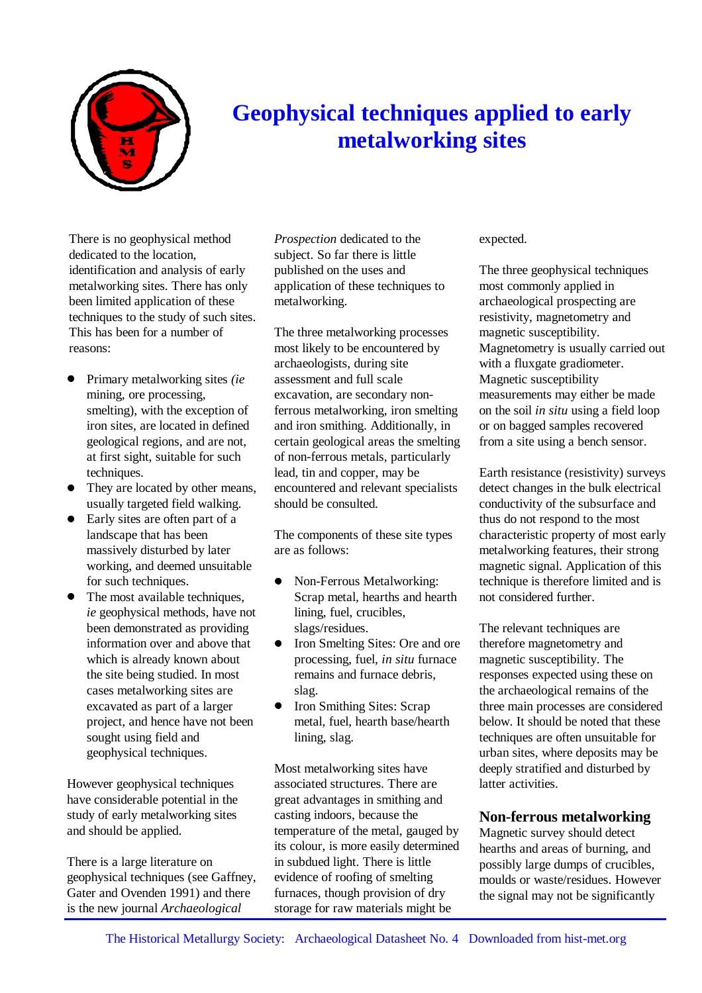

# **Geophysical techniques applied to early metalworking sites**

There is no geophysical method dedicated to the location, identification and analysis of early metalworking sites. There has only been limited application of these techniques to the study of such sites. This has been for a number of reasons:

- Primary metalworking sites *(ie* mining, ore processing, smelting), with the exception of iron sites, are located in defined geological regions, and are not, at first sight, suitable for such techniques.
- They are located by other means, usually targeted field walking.
- Early sites are often part of a landscape that has been massively disturbed by later working, and deemed unsuitable for such techniques.
- The most available techniques, *ie* geophysical methods, have not been demonstrated as providing information over and above that which is already known about the site being studied. In most cases metalworking sites are excavated as part of a larger project, and hence have not been sought using field and geophysical techniques.

However geophysical techniques have considerable potential in the study of early metalworking sites and should be applied.

There is a large literature on geophysical techniques (see Gaffney, Gater and Ovenden 1991) and there is the new journal *Archaeological*

*Prospection* dedicated to the subject. So far there is little published on the uses and application of these techniques to metalworking.

The three metalworking processes most likely to be encountered by archaeologists, during site assessment and full scale excavation, are secondary nonferrous metalworking, iron smelting and iron smithing. Additionally, in certain geological areas the smelting of non-ferrous metals, particularly lead, tin and copper, may be encountered and relevant specialists should be consulted.

The components of these site types are as follows:

- Non-Ferrous Metalworking: Scrap metal, hearths and hearth lining, fuel, crucibles, slags/residues.
- Iron Smelting Sites: Ore and ore processing, fuel, *in situ* furnace remains and furnace debris, slag.
- **Iron Smithing Sites: Scrap** metal, fuel, hearth base/hearth lining, slag.

Most metalworking sites have associated structures. There are great advantages in smithing and casting indoors, because the temperature of the metal, gauged by its colour, is more easily determined in subdued light. There is little evidence of roofing of smelting furnaces, though provision of dry storage for raw materials might be

#### expected.

The three geophysical techniques most commonly applied in archaeological prospecting are resistivity, magnetometry and magnetic susceptibility. Magnetometry is usually carried out with a fluxgate gradiometer. Magnetic susceptibility measurements may either be made on the soil *in situ* using a field loop or on bagged samples recovered from a site using a bench sensor.

Earth resistance (resistivity) surveys detect changes in the bulk electrical conductivity of the subsurface and thus do not respond to the most characteristic property of most early metalworking features, their strong magnetic signal. Application of this technique is therefore limited and is not considered further.

The relevant techniques are therefore magnetometry and magnetic susceptibility. The responses expected using these on the archaeological remains of the three main processes are considered below. It should be noted that these techniques are often unsuitable for urban sites, where deposits may be deeply stratified and disturbed by latter activities.

## **Non-ferrous metalworking**

Magnetic survey should detect hearths and areas of burning, and possibly large dumps of crucibles, moulds or waste/residues. However the signal may not be significantly